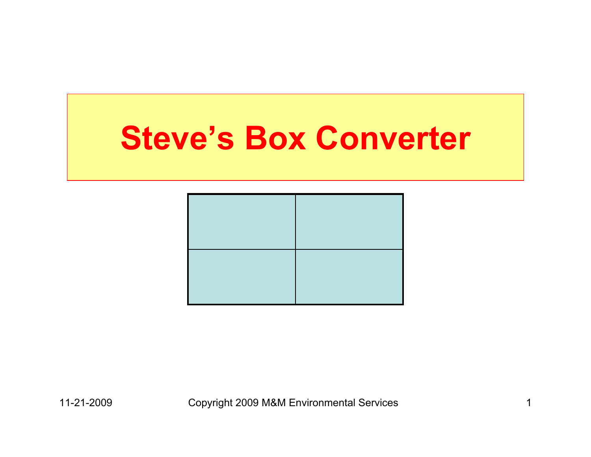#### **Steve's Box Converter**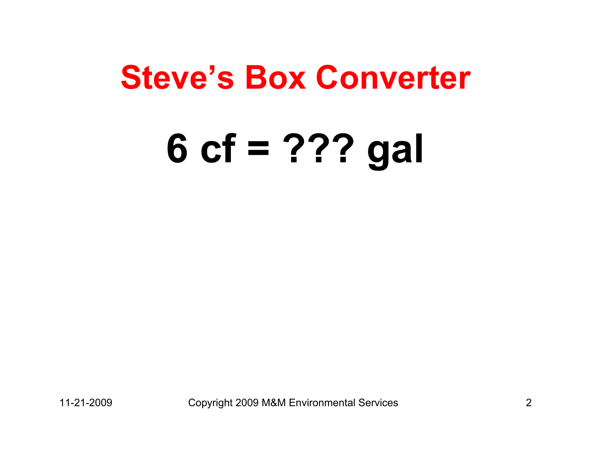#### **Steve's Box Converter**

# **6 cf = ??? gal**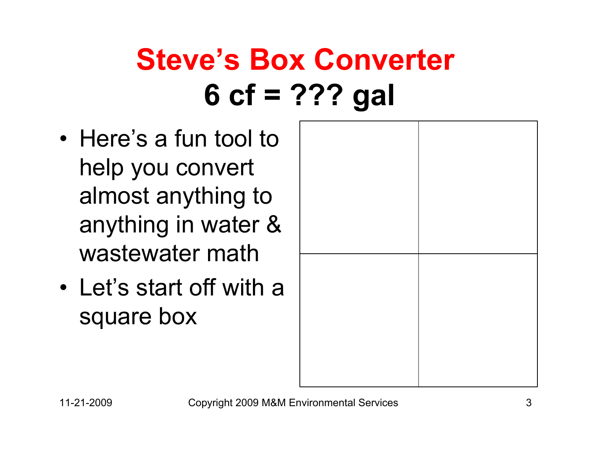- Here's a fun tool to help you convert almost anything to anything in water & wastewater math
- Let's start off with a square box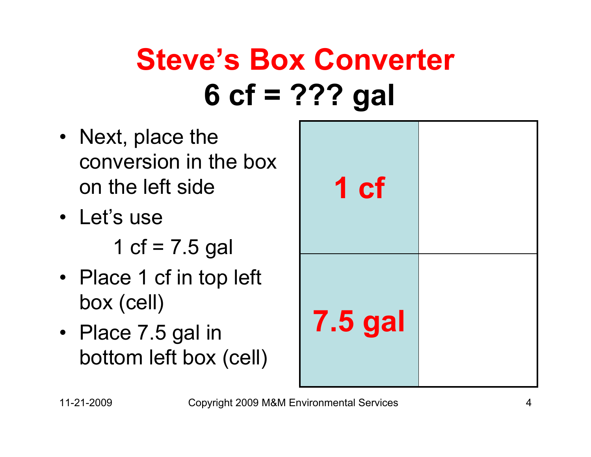- Next, place the conversion in the box on the left side
- Let's use

1 cf =  $7.5$  gal

- Place 1 cf in top left box (cell)
- Place 7.5 gal in bottom left box (cell)

| 1 <sub>cf</sub> |  |
|-----------------|--|
| <b>7.5 gal</b>  |  |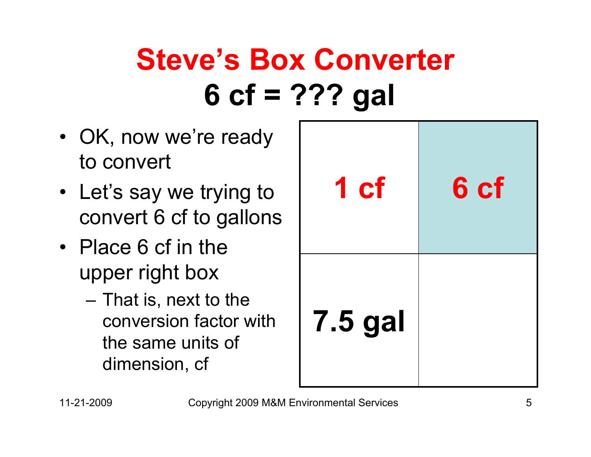- OK, now we're ready to convert
- Let's say we trying to convert 6 cf to gallons
- Place 6 cf in the upper right box
	- That is, next to the conversion factor with the same units of dimension, cf

| 1 cf           | 6 cf |
|----------------|------|
| <b>7.5 gal</b> |      |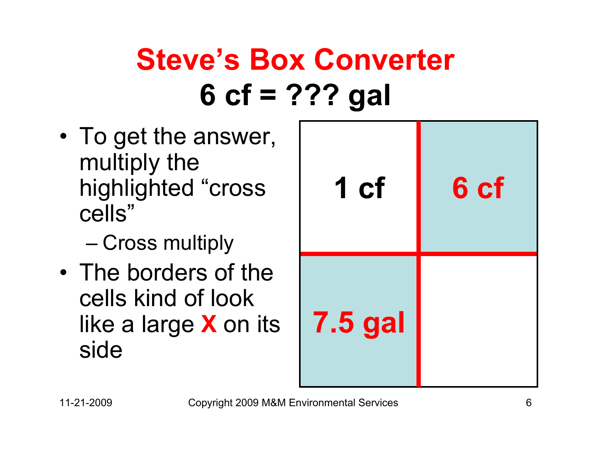• To get the answer, multiply the highlighted "cross cells"

Cross multiply

• The borders of the cells kind of look like a large **X** on its side

| 1 cf           | 6 cf |
|----------------|------|
| <b>7.5 gal</b> |      |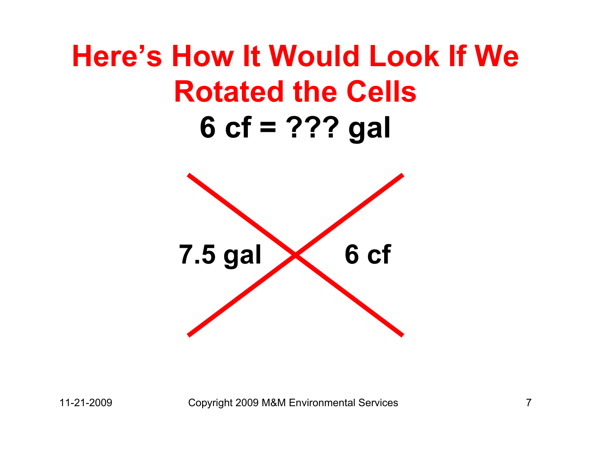#### **Here's How It Would Look If We Rotated the Cells6 cf = ??? gal**

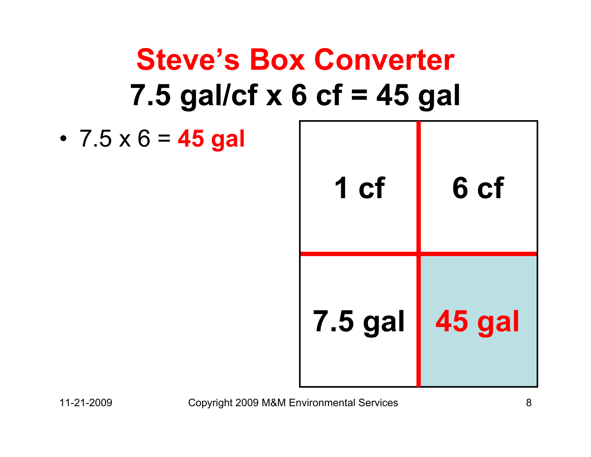### **Steve's Box Converter 7.5 gal/cf x 6 cf = 45 gal**

• 7.5 x 6 = **45 gal**

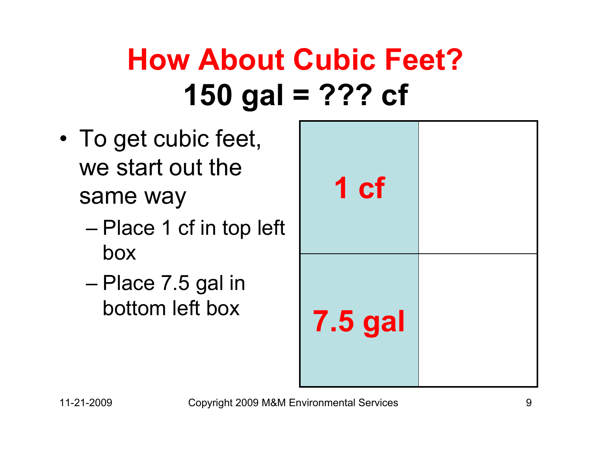# **How About Cubic Feet?150 gal = ??? cf**

- • To get cubic feet, we start out the same way
	- Place 1 cf in top left box
	- Place 7.5 gal in bottom left box

| eet,<br>e<br>op left          | 1 cf           |  |
|-------------------------------|----------------|--|
| in<br>$\overline{\mathsf{X}}$ | <b>7.5 gal</b> |  |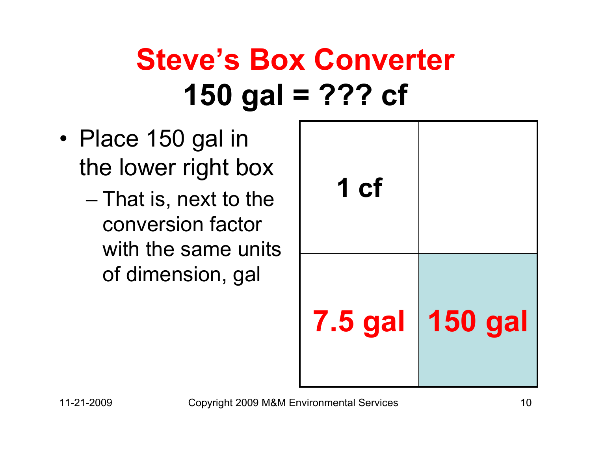# **Steve's Box Converter 150 gal = ??? cf**

- Place 150 gal in the lower right box
	- That is, next to the conversion factor with the same units of dimension, gal

| 1 cf           |                |
|----------------|----------------|
| <b>7.5 gal</b> | <b>150 gal</b> |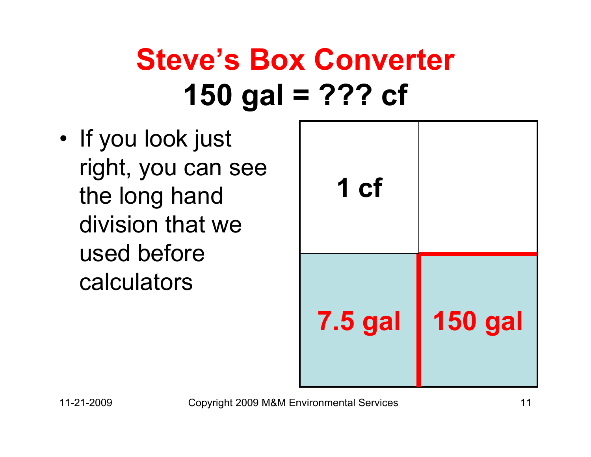# **Steve's Box Converter 150 gal = ??? cf**

• If you look just right, you can see the long hand division that we used before calculators

| 1 cf           |                |
|----------------|----------------|
| <b>7.5 gal</b> | <b>150 gal</b> |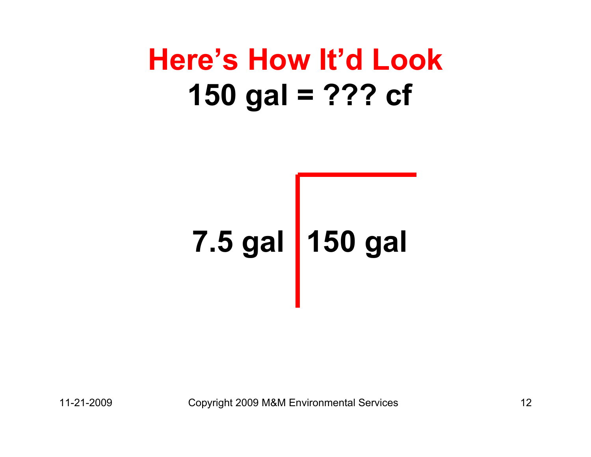#### **Here's How It'd Look150 gal = ??? cf**

# **7.5 gal 150 gal**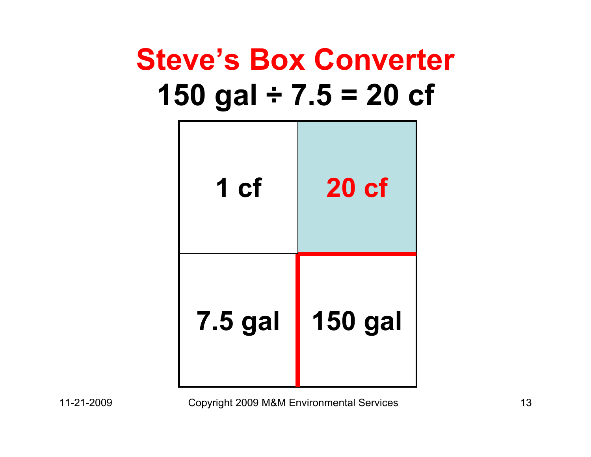#### **Steve's Box Converter 150 gal ÷ 7.5 = 20 cf**

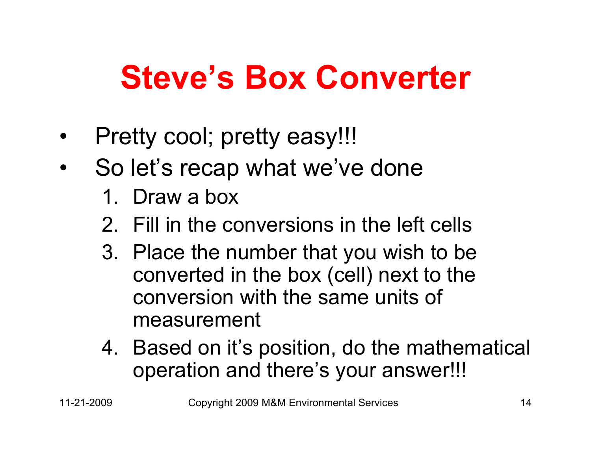# **Steve's Box Converter**

- •Pretty cool; pretty easy!!!
- • So let's recap what we've done
	- 1. Draw a box
	- 2. Fill in the conversions in the left cells
	- 3. Place the number that you wish to be converted in the box (cell) next to the conversion with the same units of measurement
	- 4. Based on it's position, do the mathematical operation and there's your answer!!!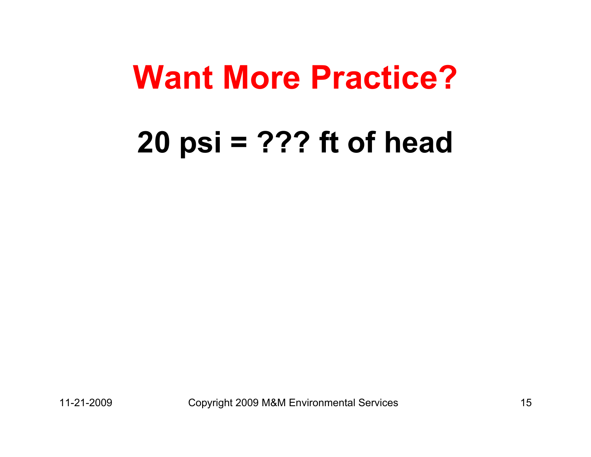# **Want More Practice?**

#### **20 psi = ??? ft of head**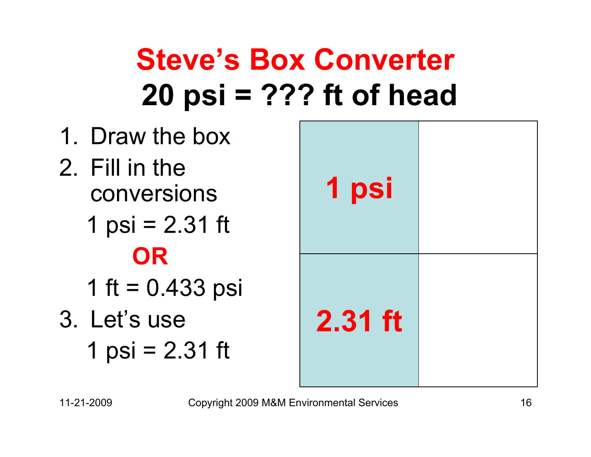1. Draw the box2. Fill in the conversions1 psi =  $2.31$  ft **OR**1 ft =  $0.433$  psi 3. Let's use1 psi =  $2.31$  ft **2.31 ft 1 psi**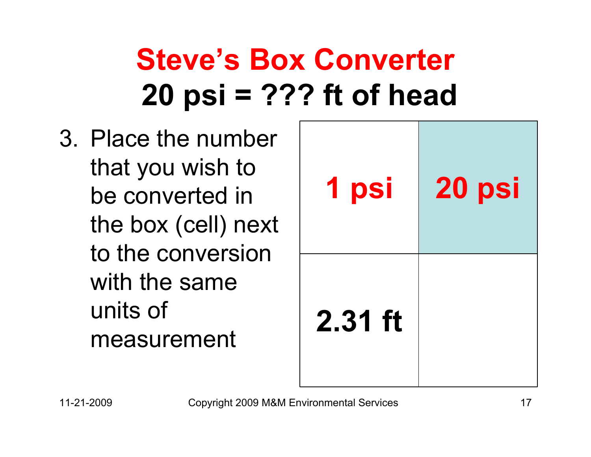3. Place the number that you wish to be converted in the box (cell) next to the conversion with the same units of measurement

| <b>1 psi</b> | 20 psi |
|--------------|--------|
| $2.31$ ft    |        |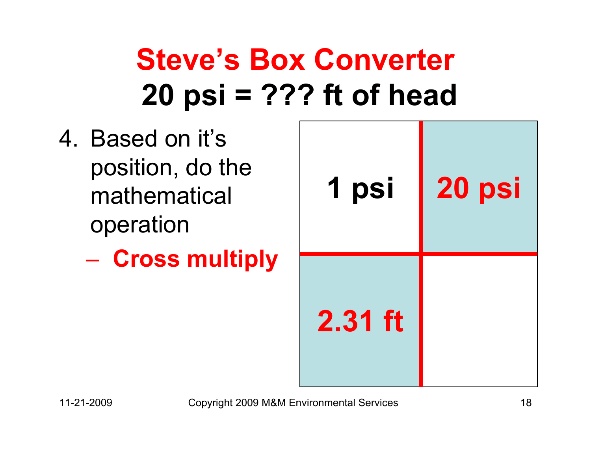- 4. Based on it's position, do the mathematical operation
	- **Cross multiply**

| 1 psi     | 20 psi |
|-----------|--------|
| $2.31$ ft |        |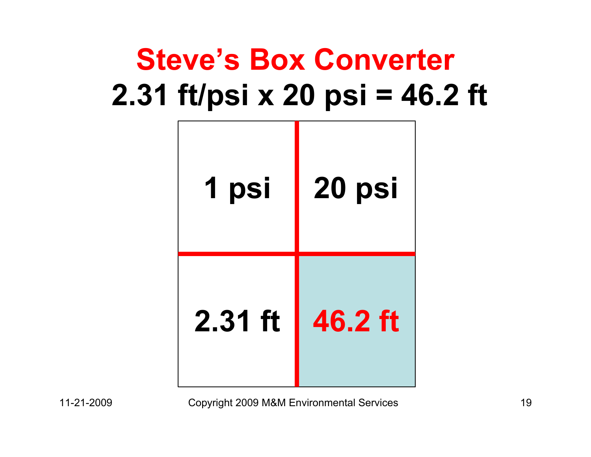## **Steve's Box Converter 2.31 ft/psi x 20 psi = 46.2 ft**



11-21-2009 Copyright 2009 M&M Environmental Services 19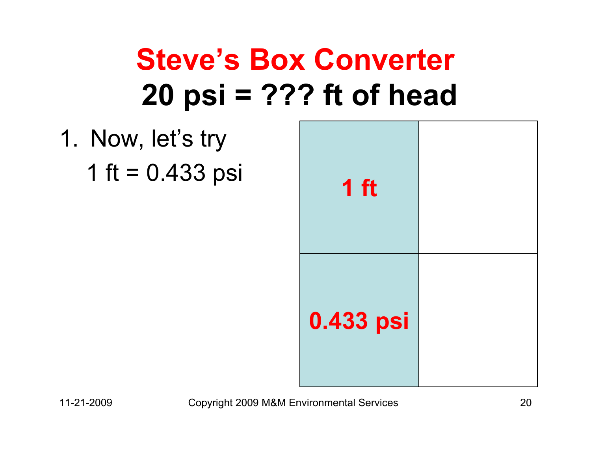1. Now, let's try 1 ft =  $0.433$  psi

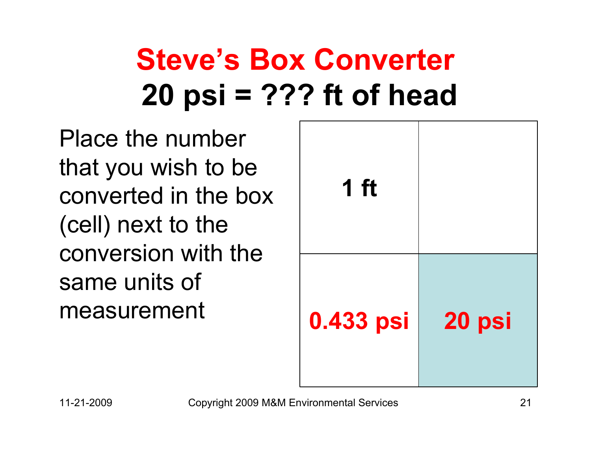Place the number that you wish to be converted in the box (cell) next to the conversion with the same units of **measurement** 

| $1$ ft    |        |
|-----------|--------|
| 0.433 psi | 20 psi |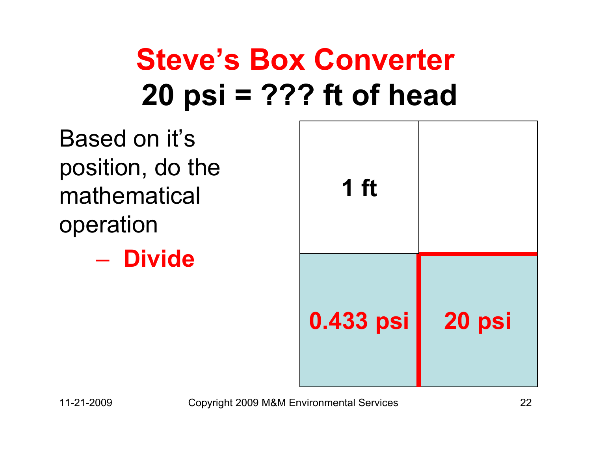Based on it's position, do the mathematical operation

– **Divide**

| 1 ft      |        |
|-----------|--------|
| 0.433 psi | 20 psi |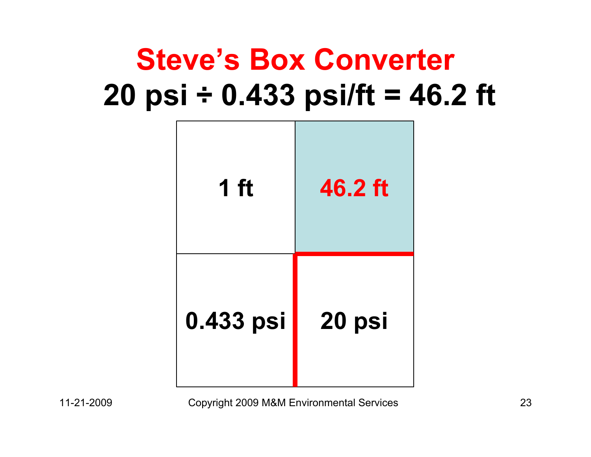#### **Steve's Box Converter 20 psi ÷ 0.433 psi/ft = 46.2 ft**